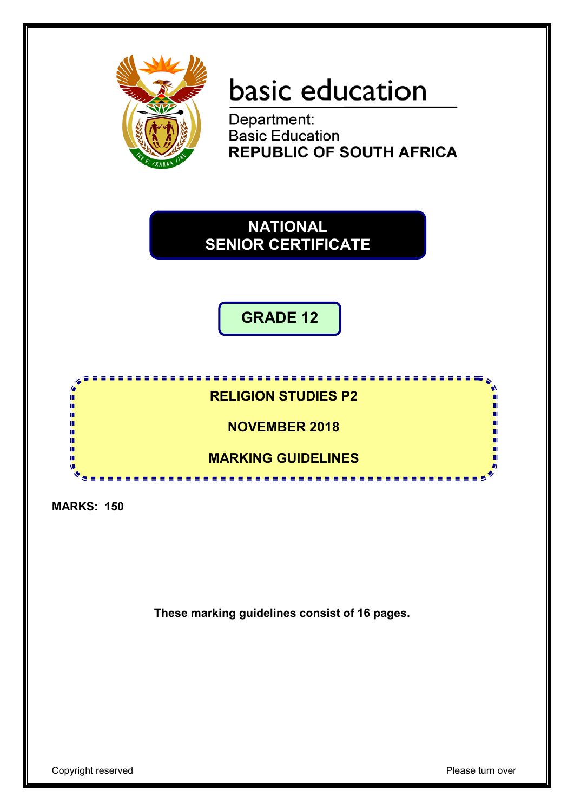

# basic education

Department: **Basic Education REPUBLIC OF SOUTH AFRICA** 

**NATIONAL SENIOR CERTIFICATE**

**GRADE 12**



**MARKS: 150**

**These marking guidelines consist of 16 pages.**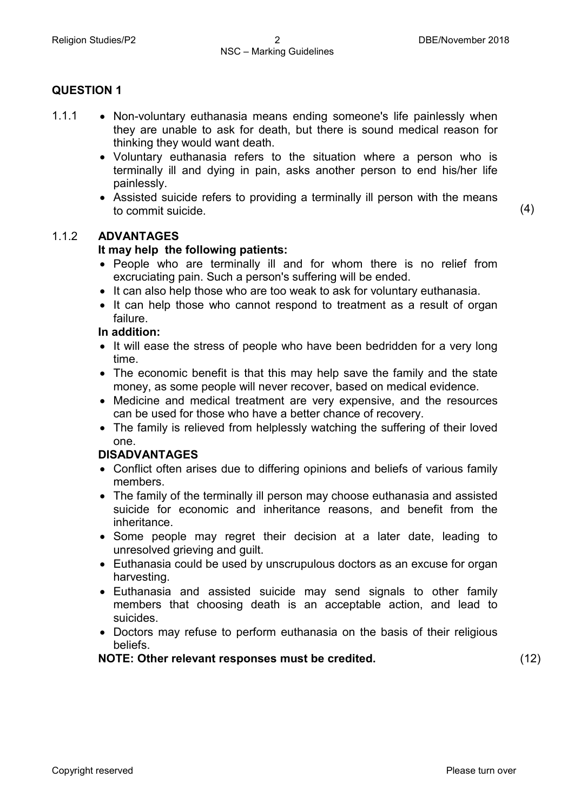- 1.1.1 Non-voluntary euthanasia means ending someone's life painlessly when they are unable to ask for death, but there is sound medical reason for thinking they would want death.
	- Voluntary euthanasia refers to the situation where a person who is terminally ill and dying in pain, asks another person to end his/her life painlessly.
	- Assisted suicide refers to providing a terminally ill person with the means to commit suicide. (4)

# 1.1.2 **ADVANTAGES**

# **It may help the following patients:**

- People who are terminally ill and for whom there is no relief from excruciating pain. Such a person's suffering will be ended.
- It can also help those who are too weak to ask for voluntary euthanasia.
- It can help those who cannot respond to treatment as a result of organ failure.

### **In addition:**

- It will ease the stress of people who have been bedridden for a very long time.
- The economic benefit is that this may help save the family and the state money, as some people will never recover, based on medical evidence.
- Medicine and medical treatment are very expensive, and the resources can be used for those who have a better chance of recovery.
- The family is relieved from helplessly watching the suffering of their loved one.

# **DISADVANTAGES**

- Conflict often arises due to differing opinions and beliefs of various family members.
- The family of the terminally ill person may choose euthanasia and assisted suicide for economic and inheritance reasons, and benefit from the inheritance.
- Some people may regret their decision at a later date, leading to unresolved grieving and guilt.
- Euthanasia could be used by unscrupulous doctors as an excuse for organ harvesting.
- Euthanasia and assisted suicide may send signals to other family members that choosing death is an acceptable action, and lead to suicides.
- Doctors may refuse to perform euthanasia on the basis of their religious beliefs.

**NOTE: Other relevant responses must be credited.** (12)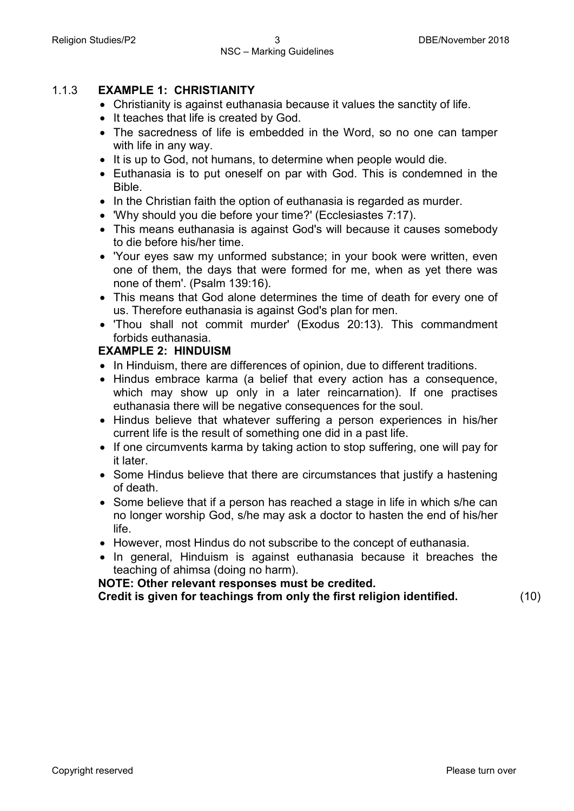#### 1.1.3 **EXAMPLE 1: CHRISTIANITY**

- Christianity is against euthanasia because it values the sanctity of life.
- It teaches that life is created by God.
- The sacredness of life is embedded in the Word, so no one can tamper with life in any way.
- It is up to God, not humans, to determine when people would die.
- Euthanasia is to put oneself on par with God. This is condemned in the Bible.
- In the Christian faith the option of euthanasia is regarded as murder.
- 'Why should you die before your time?' (Ecclesiastes 7:17).
- This means euthanasia is against God's will because it causes somebody to die before his/her time.
- 'Your eyes saw my unformed substance; in your book were written, even one of them, the days that were formed for me, when as yet there was none of them'. (Psalm 139:16).
- This means that God alone determines the time of death for every one of us. Therefore euthanasia is against God's plan for men.
- 'Thou shall not commit murder' (Exodus 20:13). This commandment forbids euthanasia.

#### **EXAMPLE 2: HINDUISM**

- In Hinduism, there are differences of opinion, due to different traditions.
- Hindus embrace karma (a belief that every action has a consequence, which may show up only in a later reincarnation). If one practises euthanasia there will be negative consequences for the soul.
- Hindus believe that whatever suffering a person experiences in his/her current life is the result of something one did in a past life.
- If one circumvents karma by taking action to stop suffering, one will pay for it later.
- Some Hindus believe that there are circumstances that justify a hastening of death.
- Some believe that if a person has reached a stage in life in which s/he can no longer worship God, s/he may ask a doctor to hasten the end of his/her life.
- However, most Hindus do not subscribe to the concept of euthanasia.
- In general, Hinduism is against euthanasia because it breaches the teaching of ahimsa (doing no harm).

#### **NOTE: Other relevant responses must be credited.**

**Credit is given for teachings from only the first religion identified.** (10)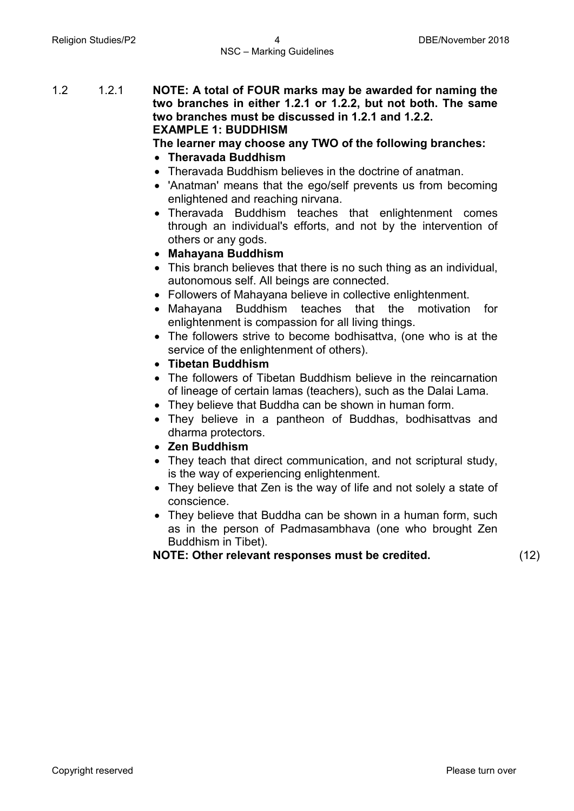1.2 1.2.1 **NOTE: A total of FOUR marks may be awarded for naming the two branches in either 1.2.1 or 1.2.2, but not both. The same two branches must be discussed in 1.2.1 and 1.2.2. EXAMPLE 1: BUDDHISM**

#### **The learner may choose any TWO of the following branches:**

- **Theravada Buddhism**
- Theravada Buddhism believes in the doctrine of anatman.
- 'Anatman' means that the ego/self prevents us from becoming enlightened and reaching nirvana.
- Theravada Buddhism teaches that enlightenment comes through an individual's efforts, and not by the intervention of others or any gods.
- **Mahayana Buddhism**
- This branch believes that there is no such thing as an individual, autonomous self. All beings are connected.
- Followers of Mahayana believe in collective enlightenment.
- Mahayana Buddhism teaches that the motivation for enlightenment is compassion for all living things.
- The followers strive to become bodhisattva, (one who is at the service of the enlightenment of others).
- **Tibetan Buddhism**
- The followers of Tibetan Buddhism believe in the reincarnation of lineage of certain lamas (teachers), such as the Dalai Lama.
- They believe that Buddha can be shown in human form.
- They believe in a pantheon of Buddhas, bodhisattvas and dharma protectors.
- **Zen Buddhism**
- They teach that direct communication, and not scriptural study, is the way of experiencing enlightenment.
- They believe that Zen is the way of life and not solely a state of conscience.
- They believe that Buddha can be shown in a human form, such as in the person of Padmasambhava (one who brought Zen Buddhism in Tibet).

**NOTE: Other relevant responses must be credited.** (12)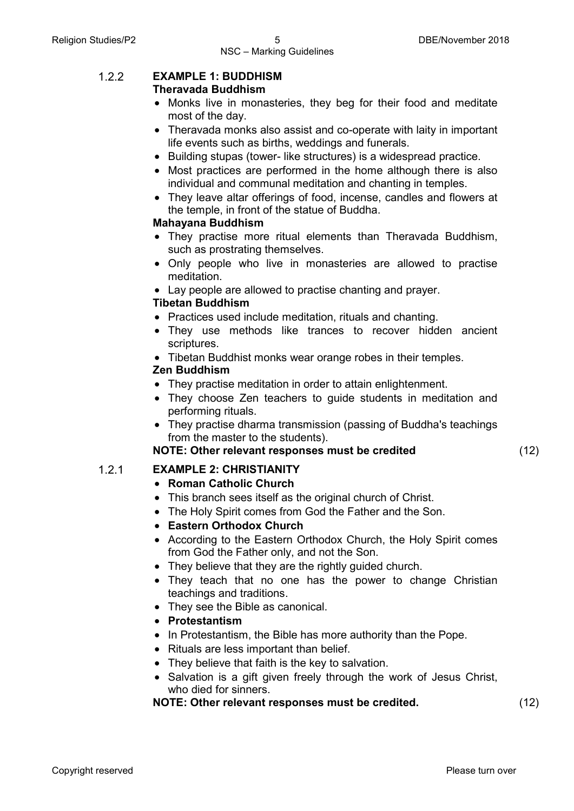# 1.2.2 **EXAMPLE 1: BUDDHISM**

# **Theravada Buddhism**

- Monks live in monasteries, they beg for their food and meditate most of the day.
- Theravada monks also assist and co-operate with laity in important life events such as births, weddings and funerals.
- Building stupas (tower- like structures) is a widespread practice.
- Most practices are performed in the home although there is also individual and communal meditation and chanting in temples.
- They leave altar offerings of food, incense, candles and flowers at the temple, in front of the statue of Buddha.

# **Mahayana Buddhism**

- They practise more ritual elements than Theravada Buddhism, such as prostrating themselves.
- Only people who live in monasteries are allowed to practise meditation.
- Lay people are allowed to practise chanting and prayer.

# **Tibetan Buddhism**

- Practices used include meditation, rituals and chanting.
- They use methods like trances to recover hidden ancient scriptures.
- Tibetan Buddhist monks wear orange robes in their temples.

# **Zen Buddhism**

- They practise meditation in order to attain enlightenment.
- They choose Zen teachers to guide students in meditation and performing rituals.
- They practise dharma transmission (passing of Buddha's teachings from the master to the students).

# **NOTE: Other relevant responses must be credited** (12)

# 1.2.1 **EXAMPLE 2: CHRISTIANITY**

# • **Roman Catholic Church**

- This branch sees itself as the original church of Christ.
- The Holy Spirit comes from God the Father and the Son.
- **Eastern Orthodox Church**
- According to the Eastern Orthodox Church, the Holy Spirit comes from God the Father only, and not the Son.
- They believe that they are the rightly guided church.
- They teach that no one has the power to change Christian teachings and traditions.
- They see the Bible as canonical.
- **Protestantism**
- In Protestantism, the Bible has more authority than the Pope.
- Rituals are less important than belief.
- They believe that faith is the key to salvation.
- Salvation is a gift given freely through the work of Jesus Christ, who died for sinners.

# **NOTE: Other relevant responses must be credited.** (12)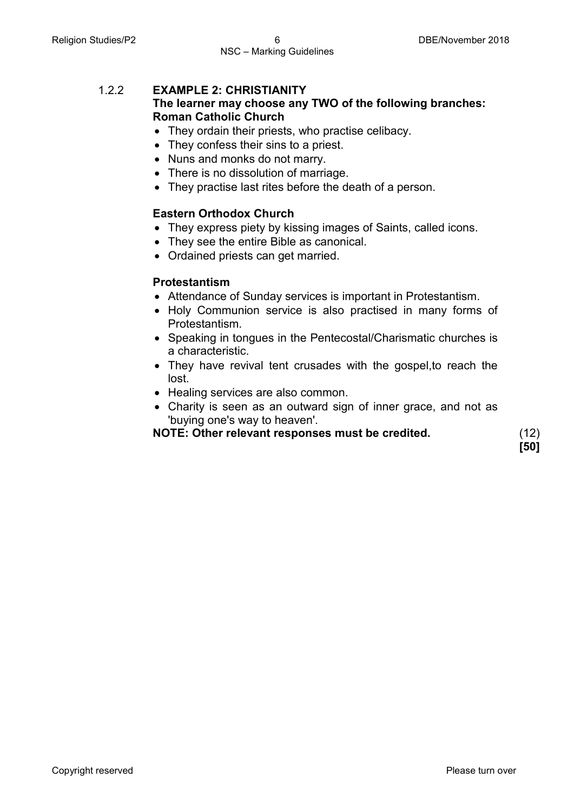## 1.2.2 **EXAMPLE 2: CHRISTIANITY The learner may choose any TWO of the following branches: Roman Catholic Church**

- They ordain their priests, who practise celibacy.
- They confess their sins to a priest.
- Nuns and monks do not marry.
- There is no dissolution of marriage.
- They practise last rites before the death of a person.

# **Eastern Orthodox Church**

- They express piety by kissing images of Saints, called icons.
- They see the entire Bible as canonical.
- Ordained priests can get married.

# **Protestantism**

- Attendance of Sunday services is important in Protestantism.
- Holy Communion service is also practised in many forms of Protestantism.
- Speaking in tongues in the Pentecostal/Charismatic churches is a characteristic.
- They have revival tent crusades with the gospel, to reach the lost.
- Healing services are also common.
- Charity is seen as an outward sign of inner grace, and not as 'buying one's way to heaven'.

**NOTE: Other relevant responses must be credited.** (12)

**[50]**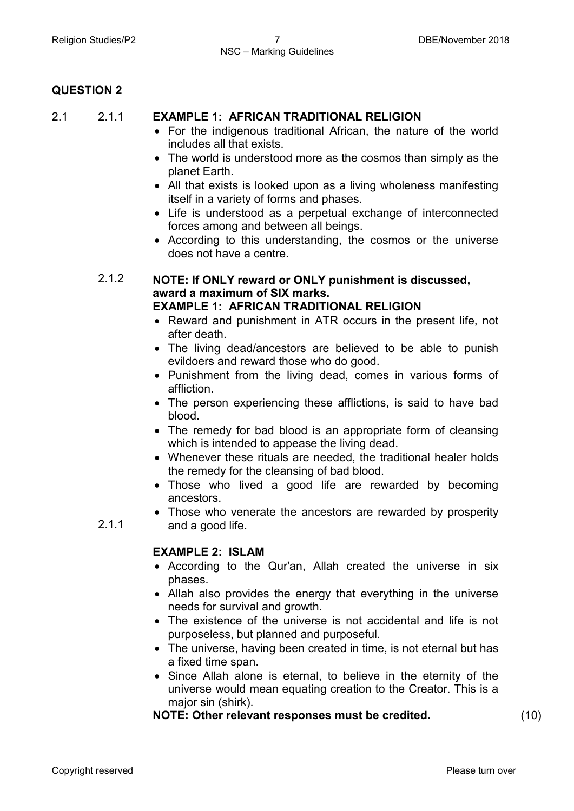2.1.1

# **EXAMPLE 1: AFRICAN TRADITIONAL RELIGION**

- For the indigenous traditional African, the nature of the world includes all that exists.
- The world is understood more as the cosmos than simply as the planet Earth.
- All that exists is looked upon as a living wholeness manifesting itself in a variety of forms and phases.
- Life is understood as a perpetual exchange of interconnected forces among and between all beings.
- According to this understanding, the cosmos or the universe does not have a centre.

#### 2.1.2 **NOTE: If ONLY reward or ONLY punishment is discussed, award a maximum of SIX marks. EXAMPLE 1: AFRICAN TRADITIONAL RELIGION**

- Reward and punishment in ATR occurs in the present life, not after death.
- The living dead/ancestors are believed to be able to punish evildoers and reward those who do good.
- Punishment from the living dead, comes in various forms of affliction.
- The person experiencing these afflictions, is said to have bad blood.
- The remedy for bad blood is an appropriate form of cleansing which is intended to appease the living dead.
- Whenever these rituals are needed, the traditional healer holds the remedy for the cleansing of bad blood.
- Those who lived a good life are rewarded by becoming ancestors.
- Those who venerate the ancestors are rewarded by prosperity and a good life.

# **EXAMPLE 2: ISLAM**

- According to the Qur'an, Allah created the universe in six phases.
- Allah also provides the energy that everything in the universe needs for survival and growth.
- The existence of the universe is not accidental and life is not purposeless, but planned and purposeful.
- The universe, having been created in time, is not eternal but has a fixed time span.
- Since Allah alone is eternal, to believe in the eternity of the universe would mean equating creation to the Creator. This is a major sin (shirk).

#### **NOTE: Other relevant responses must be credited.** (10)

2.1.1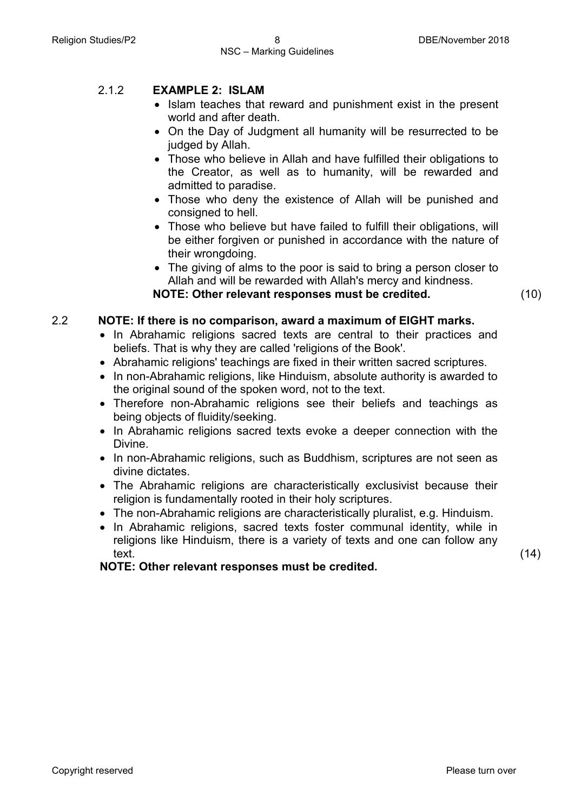# 2.1.2 **EXAMPLE 2: ISLAM**

- Islam teaches that reward and punishment exist in the present world and after death.
- On the Day of Judgment all humanity will be resurrected to be judged by Allah.
- Those who believe in Allah and have fulfilled their obligations to the Creator, as well as to humanity, will be rewarded and admitted to paradise.
- Those who deny the existence of Allah will be punished and consigned to hell.
- Those who believe but have failed to fulfill their obligations, will be either forgiven or punished in accordance with the nature of their wrongdoing.
- The giving of alms to the poor is said to bring a person closer to Allah and will be rewarded with Allah's mercy and kindness. **NOTE: Other relevant responses must be credited.** (10)

### 2.2 **NOTE: If there is no comparison, award a maximum of EIGHT marks.**

- In Abrahamic religions sacred texts are central to their practices and beliefs. That is why they are called 'religions of the Book'.
- Abrahamic religions' teachings are fixed in their written sacred scriptures.
- In non-Abrahamic religions, like Hinduism, absolute authority is awarded to the original sound of the spoken word, not to the text.
- Therefore non-Abrahamic religions see their beliefs and teachings as being objects of fluidity/seeking.
- In Abrahamic religions sacred texts evoke a deeper connection with the Divine.
- In non-Abrahamic religions, such as Buddhism, scriptures are not seen as divine dictates.
- The Abrahamic religions are characteristically exclusivist because their religion is fundamentally rooted in their holy scriptures.
- The non-Abrahamic religions are characteristically pluralist, e.g. Hinduism.
- In Abrahamic religions, sacred texts foster communal identity, while in religions like Hinduism, there is a variety of texts and one can follow any text.

**NOTE: Other relevant responses must be credited.**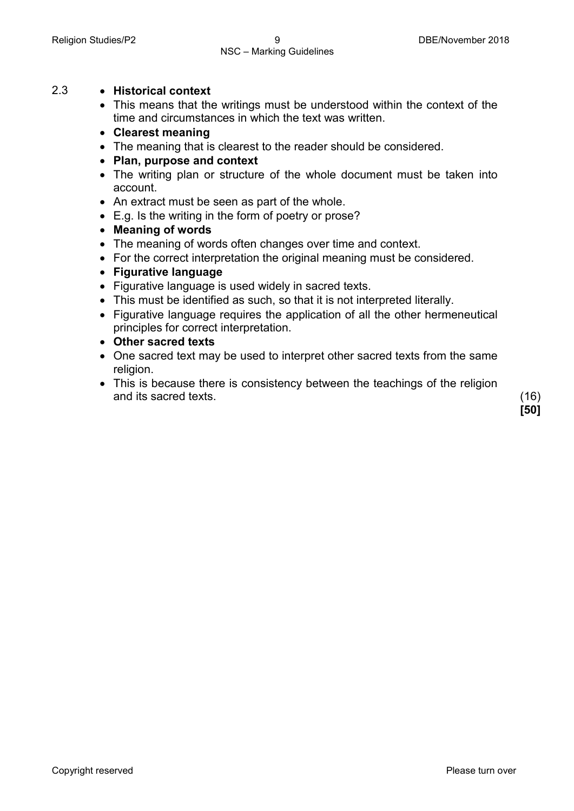# NSC – Marking Guidelines

# 2.3 • **Historical context**

- This means that the writings must be understood within the context of the time and circumstances in which the text was written.
- **Clearest meaning**
- The meaning that is clearest to the reader should be considered.
- **Plan, purpose and context**
- The writing plan or structure of the whole document must be taken into account.
- An extract must be seen as part of the whole.
- E.g. Is the writing in the form of poetry or prose?
- **Meaning of words**
- The meaning of words often changes over time and context.
- For the correct interpretation the original meaning must be considered.

# • **Figurative language**

- Figurative language is used widely in sacred texts.
- This must be identified as such, so that it is not interpreted literally.
- Figurative language requires the application of all the other hermeneutical principles for correct interpretation.
- **Other sacred texts**
- One sacred text may be used to interpret other sacred texts from the same religion.
- This is because there is consistency between the teachings of the religion and its sacred texts. (16)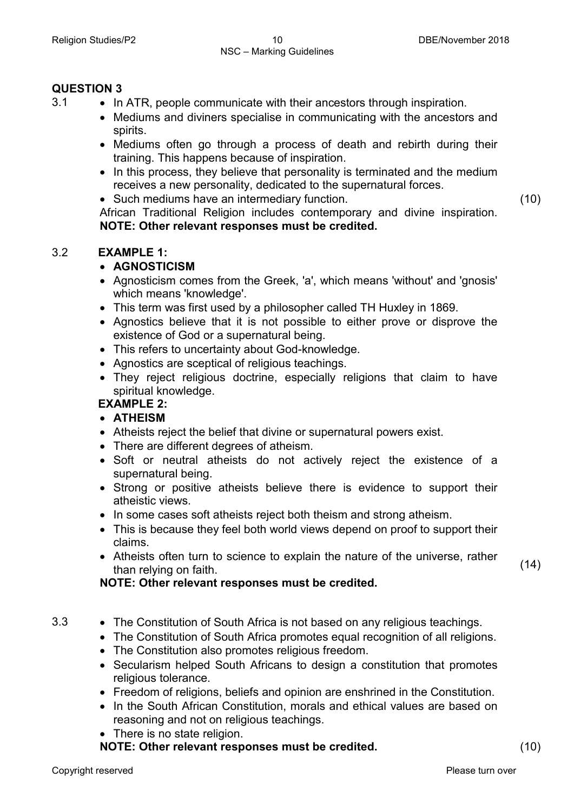- 3.1 In ATR, people communicate with their ancestors through inspiration.
	- Mediums and diviners specialise in communicating with the ancestors and spirits.
	- Mediums often go through a process of death and rebirth during their training. This happens because of inspiration.
	- In this process, they believe that personality is terminated and the medium receives a new personality, dedicated to the supernatural forces.
	- Such mediums have an intermediary function.

(10)

African Traditional Religion includes contemporary and divine inspiration. **NOTE: Other relevant responses must be credited.**

# 3.2 **EXAMPLE 1:**

# • **AGNOSTICISM**

- Agnosticism comes from the Greek, 'a', which means 'without' and 'gnosis' which means 'knowledge'.
- This term was first used by a philosopher called TH Huxley in 1869.
- Agnostics believe that it is not possible to either prove or disprove the existence of God or a supernatural being.
- This refers to uncertainty about God-knowledge.
- Agnostics are sceptical of religious teachings.
- They reject religious doctrine, especially religions that claim to have spiritual knowledge.

# **EXAMPLE 2:**

# • **ATHEISM**

- Atheists reject the belief that divine or supernatural powers exist.
- There are different degrees of atheism.
- Soft or neutral atheists do not actively reject the existence of a supernatural being.
- Strong or positive atheists believe there is evidence to support their atheistic views.
- In some cases soft atheists reject both theism and strong atheism.
- This is because they feel both world views depend on proof to support their claims.
- Atheists often turn to science to explain the nature of the universe, rather than relying on faith.

# **NOTE: Other relevant responses must be credited.**

- 3.3 The Constitution of South Africa is not based on any religious teachings.
	- The Constitution of South Africa promotes equal recognition of all religions.
	- The Constitution also promotes religious freedom.
	- Secularism helped South Africans to design a constitution that promotes religious tolerance.
	- Freedom of religions, beliefs and opinion are enshrined in the Constitution.
	- In the South African Constitution, morals and ethical values are based on reasoning and not on religious teachings.
	- There is no state religion.

**NOTE: Other relevant responses must be credited.** (10)

(14)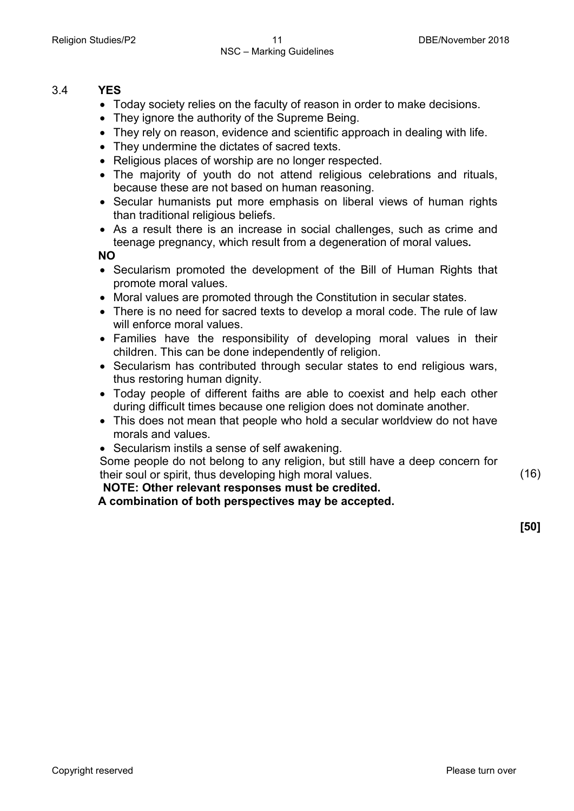#### 3.4 **YES**

- Today society relies on the faculty of reason in order to make decisions.
- They ignore the authority of the Supreme Being.
- They rely on reason, evidence and scientific approach in dealing with life.
- They undermine the dictates of sacred texts.
- Religious places of worship are no longer respected.
- The majority of youth do not attend religious celebrations and rituals, because these are not based on human reasoning.
- Secular humanists put more emphasis on liberal views of human rights than traditional religious beliefs.
- As a result there is an increase in social challenges, such as crime and teenage pregnancy, which result from a degeneration of moral values**.**

**NO**

- Secularism promoted the development of the Bill of Human Rights that promote moral values.
- Moral values are promoted through the Constitution in secular states.
- There is no need for sacred texts to develop a moral code. The rule of law will enforce moral values.
- Families have the responsibility of developing moral values in their children. This can be done independently of religion.
- Secularism has contributed through secular states to end religious wars, thus restoring human dignity.
- Today people of different faiths are able to coexist and help each other during difficult times because one religion does not dominate another.
- This does not mean that people who hold a secular worldview do not have morals and values.
- Secularism instils a sense of self awakening.

Some people do not belong to any religion, but still have a deep concern for their soul or spirit, thus developing high moral values. (16)

**NOTE: Other relevant responses must be credited.**

**A combination of both perspectives may be accepted.**

**[50]**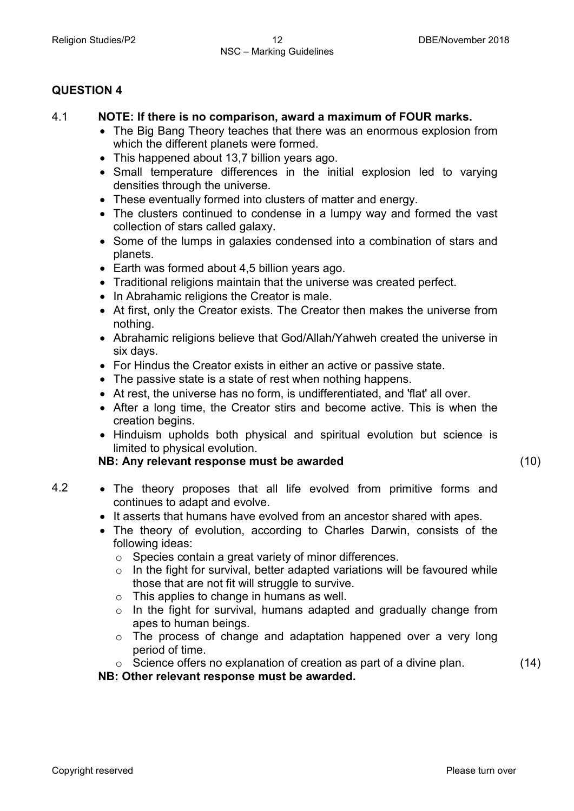# 4.1 **NOTE: If there is no comparison, award a maximum of FOUR marks.**

- The Big Bang Theory teaches that there was an enormous explosion from which the different planets were formed.
- This happened about 13,7 billion years ago.
- Small temperature differences in the initial explosion led to varying densities through the universe.
- These eventually formed into clusters of matter and energy.
- The clusters continued to condense in a lumpy way and formed the vast collection of stars called galaxy.
- Some of the lumps in galaxies condensed into a combination of stars and planets.
- Earth was formed about 4,5 billion years ago.
- Traditional religions maintain that the universe was created perfect.
- In Abrahamic religions the Creator is male.
- At first, only the Creator exists. The Creator then makes the universe from nothing.
- Abrahamic religions believe that God/Allah/Yahweh created the universe in six days.
- For Hindus the Creator exists in either an active or passive state.
- The passive state is a state of rest when nothing happens.
- At rest, the universe has no form, is undifferentiated, and 'flat' all over.
- After a long time, the Creator stirs and become active. This is when the creation begins.
- Hinduism upholds both physical and spiritual evolution but science is limited to physical evolution.

#### **NB: Any relevant response must be awarded** (10)

- 4.2 The theory proposes that all life evolved from primitive forms and continues to adapt and evolve.
	- It asserts that humans have evolved from an ancestor shared with apes.
	- The theory of evolution, according to Charles Darwin, consists of the following ideas:
		- o Species contain a great variety of minor differences.
		- $\circ$  In the fight for survival, better adapted variations will be favoured while those that are not fit will struggle to survive.
		- $\circ$  This applies to change in humans as well.

**NB: Other relevant response must be awarded.**

- o In the fight for survival, humans adapted and gradually change from apes to human beings.
- o The process of change and adaptation happened over a very long period of time.
- o Science offers no explanation of creation as part of a divine plan.

(14)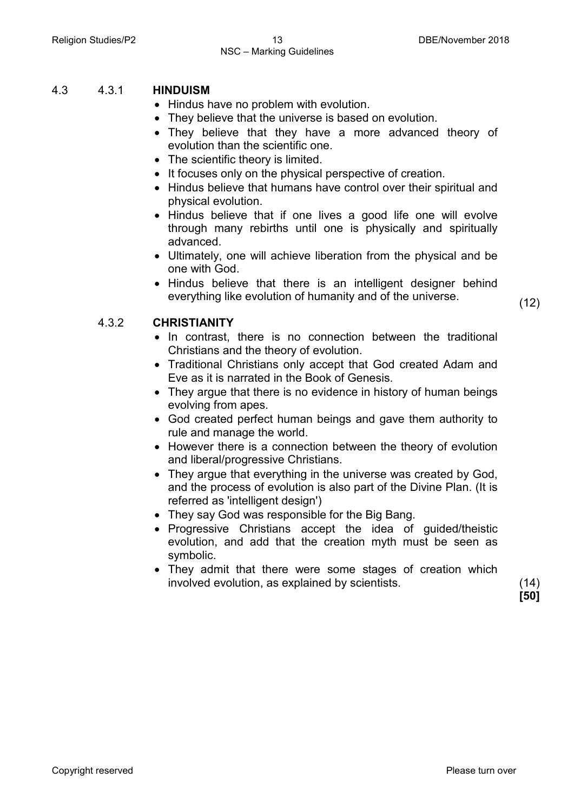#### Religion Studies/P2 13 13 DBE/November 2018 NSC – Marking Guidelines

## 4.3 4.3.1 **HINDUISM**

- Hindus have no problem with evolution.
- They believe that the universe is based on evolution.
- They believe that they have a more advanced theory of evolution than the scientific one.
- The scientific theory is limited.
- It focuses only on the physical perspective of creation.
- Hindus believe that humans have control over their spiritual and physical evolution.
- Hindus believe that if one lives a good life one will evolve through many rebirths until one is physically and spiritually advanced.
- Ultimately, one will achieve liberation from the physical and be one with God.
- Hindus believe that there is an intelligent designer behind everything like evolution of humanity and of the universe. (12)

#### 4.3.2 **CHRISTIANITY**

- In contrast, there is no connection between the traditional Christians and the theory of evolution.
- Traditional Christians only accept that God created Adam and Eve as it is narrated in the Book of Genesis.
- They argue that there is no evidence in history of human beings evolving from apes.
- God created perfect human beings and gave them authority to rule and manage the world.
- However there is a connection between the theory of evolution and liberal/progressive Christians.
- They argue that everything in the universe was created by God, and the process of evolution is also part of the Divine Plan. (It is referred as 'intelligent design')
- They say God was responsible for the Big Bang.
- Progressive Christians accept the idea of guided/theistic evolution, and add that the creation myth must be seen as symbolic.
- They admit that there were some stages of creation which involved evolution, as explained by scientists. (14)

**[50]**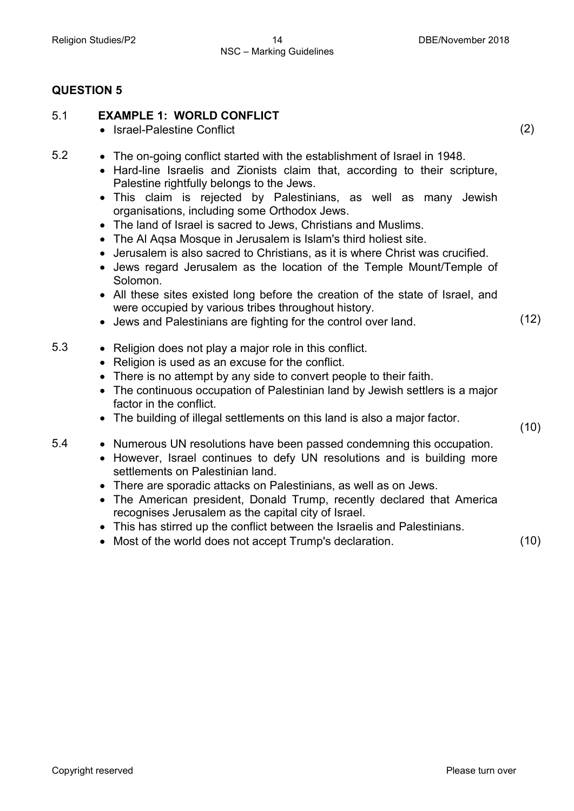# 5.1 **EXAMPLE 1: WORLD CONFLICT**

- Israel-Palestine Conflict
- 5.2 The on-going conflict started with the establishment of Israel in 1948.
	- Hard-line Israelis and Zionists claim that, according to their scripture, Palestine rightfully belongs to the Jews.
	- This claim is rejected by Palestinians, as well as many Jewish organisations, including some Orthodox Jews.
	- The land of Israel is sacred to Jews, Christians and Muslims.
	- The Al Aqsa Mosque in Jerusalem is Islam's third holiest site.
	- Jerusalem is also sacred to Christians, as it is where Christ was crucified.
	- Jews regard Jerusalem as the location of the Temple Mount/Temple of Solomon.
	- All these sites existed long before the creation of the state of Israel, and were occupied by various tribes throughout history.
	- Jews and Palestinians are fighting for the control over land. (12)
- 5.3 Religion does not play a major role in this conflict.
	- Religion is used as an excuse for the conflict.
	- There is no attempt by any side to convert people to their faith.
	- The continuous occupation of Palestinian land by Jewish settlers is a major factor in the conflict.
	- The building of illegal settlements on this land is also a major factor. (10)
- 5.4 Numerous UN resolutions have been passed condemning this occupation.
	- However, Israel continues to defy UN resolutions and is building more settlements on Palestinian land.
	- There are sporadic attacks on Palestinians, as well as on Jews.
	- The American president, Donald Trump, recently declared that America recognises Jerusalem as the capital city of Israel.
	- This has stirred up the conflict between the Israelis and Palestinians.
	- Most of the world does not accept Trump's declaration. (10)

(2)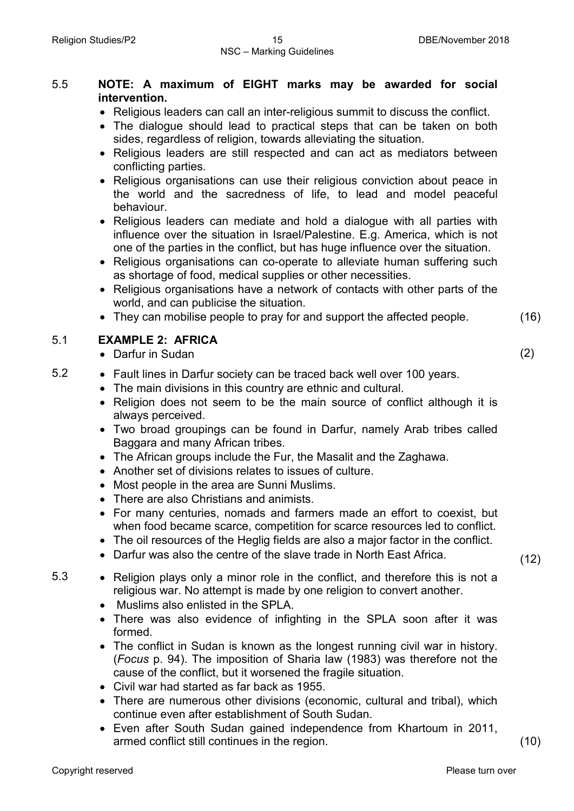# 5.5 **NOTE: A maximum of EIGHT marks may be awarded for social intervention.**

- Religious leaders can call an inter-religious summit to discuss the conflict.
- The dialogue should lead to practical steps that can be taken on both sides, regardless of religion, towards alleviating the situation.
- Religious leaders are still respected and can act as mediators between conflicting parties.
- Religious organisations can use their religious conviction about peace in the world and the sacredness of life, to lead and model peaceful behaviour.
- Religious leaders can mediate and hold a dialogue with all parties with influence over the situation in Israel/Palestine. E.g. America, which is not one of the parties in the conflict, but has huge influence over the situation.
- Religious organisations can co-operate to alleviate human suffering such as shortage of food, medical supplies or other necessities.
- Religious organisations have a network of contacts with other parts of the world, and can publicise the situation.
- They can mobilise people to pray for and support the affected people. (16)

# 5.1 **EXAMPLE 2: AFRICA**

- Darfur in Sudan (2)
- 5.2 Fault lines in Darfur society can be traced back well over 100 years.
	- The main divisions in this country are ethnic and cultural.
	- Religion does not seem to be the main source of conflict although it is always perceived.
	- Two broad groupings can be found in Darfur, namely Arab tribes called Baggara and many African tribes.
	- The African groups include the Fur, the Masalit and the Zaghawa.
	- Another set of divisions relates to issues of culture.
	- Most people in the area are Sunni Muslims.
	- There are also Christians and animists.
	- For many centuries, nomads and farmers made an effort to coexist, but when food became scarce, competition for scarce resources led to conflict.
	- The oil resources of the Heglig fields are also a major factor in the conflict.
	- Darfur was also the centre of the slave trade in North East Africa. (12)
- 5.3 Religion plays only a minor role in the conflict, and therefore this is not a religious war. No attempt is made by one religion to convert another.
	- Muslims also enlisted in the SPLA.
	- There was also evidence of infighting in the SPLA soon after it was formed.
	- The conflict in Sudan is known as the longest running civil war in history. (*Focus* p. 94). The imposition of Sharia law (1983) was therefore not the cause of the conflict, but it worsened the fragile situation.
	- Civil war had started as far back as 1955.
	- There are numerous other divisions (economic, cultural and tribal), which continue even after establishment of South Sudan.
	- Even after South Sudan gained independence from Khartoum in 2011, armed conflict still continues in the region. (10)